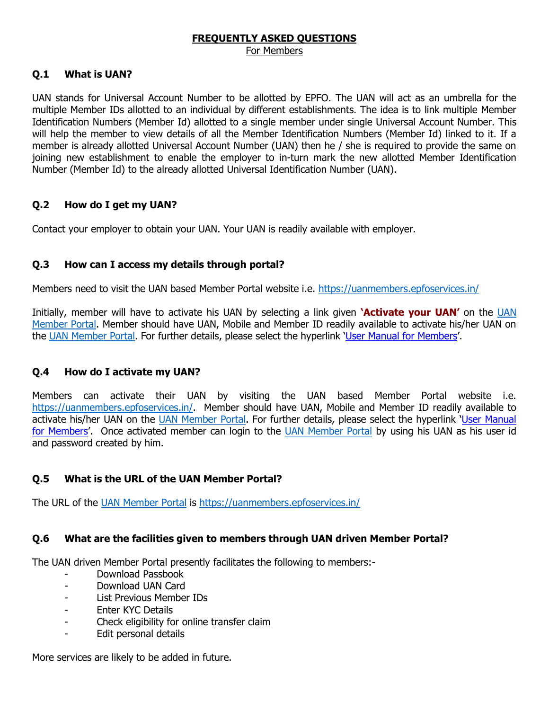# **FREQUENTLY ASKED QUESTIONS**

# For Members

# **Q.1 What is UAN?**

UAN stands for Universal Account Number to be allotted by EPFO. The UAN will act as an umbrella for the multiple Member IDs allotted to an individual by different establishments. The idea is to link multiple Member Identification Numbers (Member Id) allotted to a single member under single Universal Account Number. This will help the member to view details of all the Member Identification Numbers (Member Id) linked to it. If a member is already allotted Universal Account Number (UAN) then he / she is required to provide the same on joining new establishment to enable the employer to in-turn mark the new allotted Member Identification Number (Member Id) to the already allotted Universal Identification Number (UAN).

# **Q.2 How do I get my UAN?**

Contact your employer to obtain your UAN. Your UAN is readily available with employer.

# **Q.3 How can I access my details through portal?**

Members need to visit the UAN based Member Portal website i.e. <https://uanmembers.epfoservices.in/>

Initially, member will have to activate his UAN by selecting a link given **'Activate your UAN'** on the [UAN](https://uanmembers.epfoservices.in/)  [Member Portal.](https://uanmembers.epfoservices.in/) Member should have UAN, Mobile and Member ID readily available to activate his/her UAN on the [UAN Member Portal.](https://uanmembers.epfoservices.in/) For further details, please select the hyperlink '[User Manual for Members](http://www.epfindia.gov.in/site_docs/PDFs/UAN_PDFs/UAN_ForMembers/User_Manual_Ver1.1_UAN_MemberPortal.pdf)'.

# **Q.4 How do I activate my UAN?**

Members can activate their UAN by visiting the UAN based Member Portal website i.e. [https://uanmembers.epfoservices.in/.](https://uanmembers.epfoservices.in/) Member should have UAN, Mobile and Member ID readily available to activate his/her UAN on the [UAN Member Portal.](https://uanmembers.epfoservices.in/) For further details, please select the hyperlink 'User Manual [for Members](http://www.epfindia.gov.in/site_docs/PDFs/UAN_PDFs/UAN_ForMembers/User_Manual_Ver1.1_UAN_MemberPortal.pdf)'. Once activated member can login to the [UAN Member Portal](https://uanmembers.epfoservices.in/) by using his UAN as his user id and password created by him.

# **Q.5 What is the URL of the UAN Member Portal?**

The URL of the [UAN Member Portal](https://uanmembers.epfoservices.in/) is <https://uanmembers.epfoservices.in/>

# **Q.6 What are the facilities given to members through UAN driven Member Portal?**

The UAN driven Member Portal presently facilitates the following to members:-

- Download Passbook
- Download UAN Card
- List Previous Member IDs
- Enter KYC Details
- Check eligibility for online transfer claim
- Edit personal details

More services are likely to be added in future.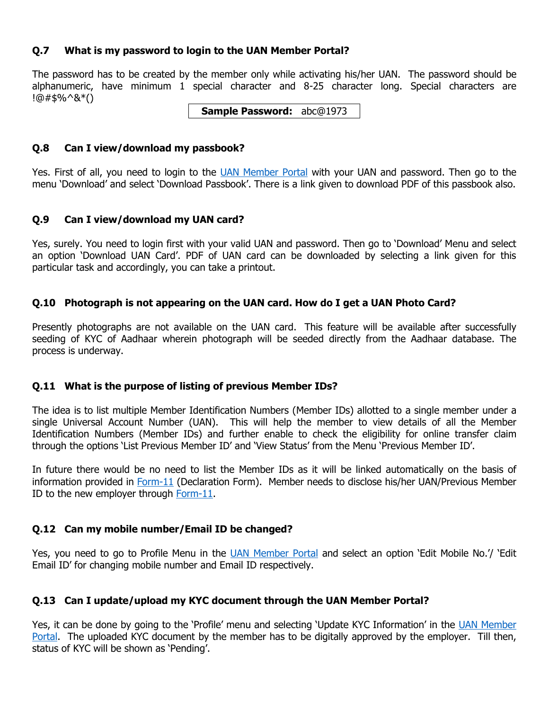#### **Q.7 What is my password to login to the UAN Member Portal?**

The password has to be created by the member only while activating his/her UAN. The password should be alphanumeric, have minimum 1 special character and 8-25 character long. Special characters are !@#\$%^&\*()

**Sample Password:** abc@1973

#### **Q.8 Can I view/download my passbook?**

Yes. First of all, you need to login to the [UAN Member Portal](https://uanmembers.epfoservices.in/) with your UAN and password. Then go to the menu 'Download' and select 'Download Passbook'. There is a link given to download PDF of this passbook also.

# **Q.9 Can I view/download my UAN card?**

Yes, surely. You need to login first with your valid UAN and password. Then go to 'Download' Menu and select an option 'Download UAN Card'. PDF of UAN card can be downloaded by selecting a link given for this particular task and accordingly, you can take a printout.

# **Q.10 Photograph is not appearing on the UAN card. How do I get a UAN Photo Card?**

Presently photographs are not available on the UAN card. This feature will be available after successfully seeding of KYC of Aadhaar wherein photograph will be seeded directly from the Aadhaar database. The process is underway.

# **Q.11 What is the purpose of listing of previous Member IDs?**

The idea is to list multiple Member Identification Numbers (Member IDs) allotted to a single member under a single Universal Account Number (UAN). This will help the member to view details of all the Member Identification Numbers (Member IDs) and further enable to check the eligibility for online transfer claim through the options 'List Previous Member ID' and 'View Status' from the Menu 'Previous Member ID'.

In future there would be no need to list the Member IDs as it will be linked automatically on the basis of information provided in [Form-11](http://www.epfindia.gov.in/site_docs/PDFs/Downloads_PDFs/Form11Revised.pdf) (Declaration Form). Member needs to disclose his/her UAN/Previous Member ID to the new employer through [Form-11.](http://www.epfindia.gov.in/site_docs/PDFs/Downloads_PDFs/Form11Revised.pdf)

# **Q.12 Can my mobile number/Email ID be changed?**

Yes, you need to go to Profile Menu in the [UAN Member Portal](https://uanmembers.epfoservices.in/) and select an option 'Edit Mobile No.'/ 'Edit Email ID' for changing mobile number and Email ID respectively.

# **Q.13 Can I update/upload my KYC document through the UAN Member Portal?**

Yes, it can be done by going to the 'Profile' menu and selecting 'Update KYC Information' in the UAN Member [Portal.](https://uanmembers.epfoservices.in/) The uploaded KYC document by the member has to be digitally approved by the employer. Till then, status of KYC will be shown as 'Pending'.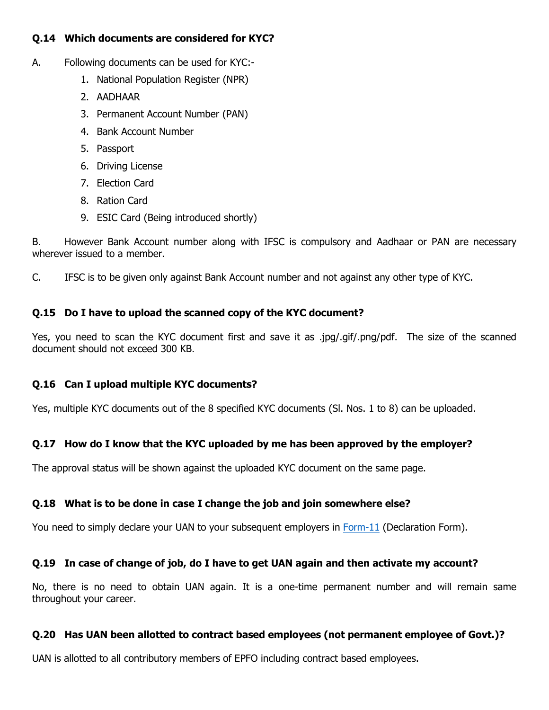# **Q.14 Which documents are considered for KYC?**

- A. Following documents can be used for KYC:-
	- 1. National Population Register (NPR)
	- 2. AADHAAR
	- 3. Permanent Account Number (PAN)
	- 4. Bank Account Number
	- 5. Passport
	- 6. Driving License
	- 7. Election Card
	- 8. Ration Card
	- 9. ESIC Card (Being introduced shortly)

B. However Bank Account number along with IFSC is compulsory and Aadhaar or PAN are necessary wherever issued to a member.

C. IFSC is to be given only against Bank Account number and not against any other type of KYC.

# **Q.15 Do I have to upload the scanned copy of the KYC document?**

Yes, you need to scan the KYC document first and save it as .jpg/.gif/.png/pdf. The size of the scanned document should not exceed 300 KB.

# **Q.16 Can I upload multiple KYC documents?**

Yes, multiple KYC documents out of the 8 specified KYC documents (Sl. Nos. 1 to 8) can be uploaded.

# **Q.17 How do I know that the KYC uploaded by me has been approved by the employer?**

The approval status will be shown against the uploaded KYC document on the same page.

# **Q.18 What is to be done in case I change the job and join somewhere else?**

You need to simply declare your UAN to your subsequent employers in [Form-11](http://www.epfindia.gov.in/site_docs/PDFs/Downloads_PDFs/Form11Revised.pdf) (Declaration Form).

# **Q.19 In case of change of job, do I have to get UAN again and then activate my account?**

No, there is no need to obtain UAN again. It is a one-time permanent number and will remain same throughout your career.

# **Q.20 Has UAN been allotted to contract based employees (not permanent employee of Govt.)?**

UAN is allotted to all contributory members of EPFO including contract based employees.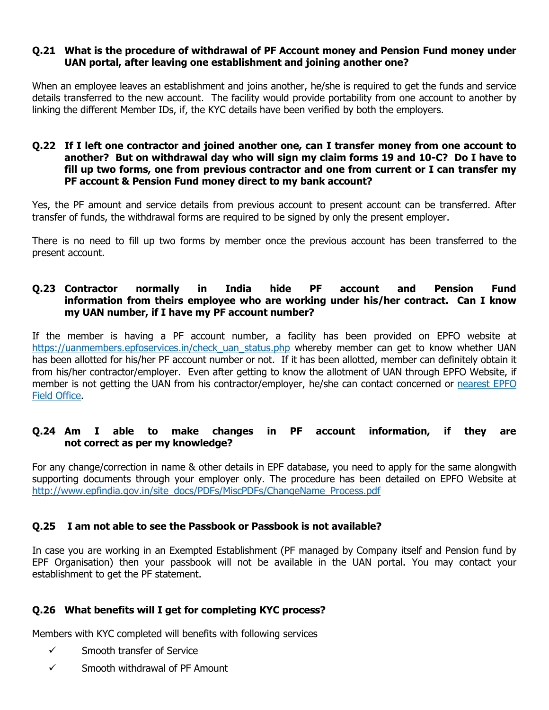#### **Q.21 What is the procedure of withdrawal of PF Account money and Pension Fund money under UAN portal, after leaving one establishment and joining another one?**

When an employee leaves an establishment and joins another, he/she is required to get the funds and service details transferred to the new account. The facility would provide portability from one account to another by linking the different Member IDs, if, the KYC details have been verified by both the employers.

#### **Q.22 If I left one contractor and joined another one, can I transfer money from one account to another? But on withdrawal day who will sign my claim forms 19 and 10-C? Do I have to fill up two forms, one from previous contractor and one from current or I can transfer my PF account & Pension Fund money direct to my bank account?**

Yes, the PF amount and service details from previous account to present account can be transferred. After transfer of funds, the withdrawal forms are required to be signed by only the present employer.

There is no need to fill up two forms by member once the previous account has been transferred to the present account.

#### **Q.23 Contractor normally in India hide PF account and Pension Fund information from theirs employee who are working under his/her contract. Can I know my UAN number, if I have my PF account number?**

If the member is having a PF account number, a facility has been provided on EPFO website at [https://uanmembers.epfoservices.in/check\\_uan\\_status.php](https://uanmembers.epfoservices.in/check_uan_status.php)\_whereby\_member can\_get to know whether UAN has been allotted for his/her PF account number or not. If it has been allotted, member can definitely obtain it from his/her contractor/employer. Even after getting to know the allotment of UAN through EPFO Website, if member is not getting the UAN from his contractor/employer, he/she can contact concerned or [nearest EPFO](http://www.epfindia.gov.in/site_en/Contact_us.php)  [Field Office.](http://www.epfindia.gov.in/site_en/Contact_us.php)

# **Q.24 Am I able to make changes in PF account information, if they are not correct as per my knowledge?**

For any change/correction in name & other details in EPF database, you need to apply for the same alongwith supporting documents through your employer only. The procedure has been detailed on EPFO Website at [http://www.epfindia.gov.in/site\\_docs/PDFs/MiscPDFs/ChangeName\\_Process.pdf](http://www.epfindia.gov.in/site_docs/PDFs/MiscPDFs/ChangeName_Process.pdf)

# **Q.25 I am not able to see the Passbook or Passbook is not available?**

In case you are working in an Exempted Establishment (PF managed by Company itself and Pension fund by EPF Organisation) then your passbook will not be available in the UAN portal. You may contact your establishment to get the PF statement.

# **Q.26 What benefits will I get for completing KYC process?**

Members with KYC completed will benefits with following services

- $\checkmark$  Smooth transfer of Service
- $\checkmark$  Smooth withdrawal of PF Amount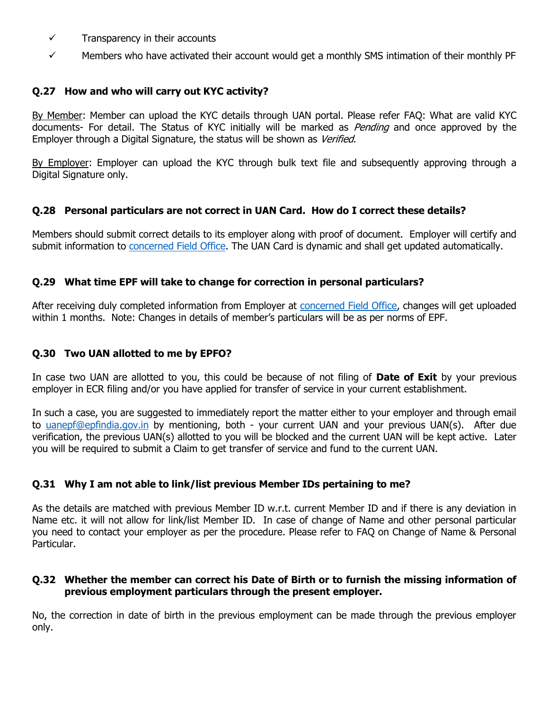- $\checkmark$  Transparency in their accounts
- $\checkmark$  Members who have activated their account would get a monthly SMS intimation of their monthly PF

# **Q.27 How and who will carry out KYC activity?**

By Member: Member can upload the KYC details through UAN portal. Please refer FAQ: What are valid KYC documents- For detail. The Status of KYC initially will be marked as *Pending* and once approved by the Employer through a Digital Signature, the status will be shown as Verified.

By Employer: Employer can upload the KYC through bulk text file and subsequently approving through a Digital Signature only.

#### **Q.28 Personal particulars are not correct in UAN Card. How do I correct these details?**

Members should submit correct details to its employer along with proof of document. Employer will certify and submit information to [concerned Field Office.](http://www.epfindia.gov.in/site_en/Contact_us.php) The UAN Card is dynamic and shall get updated automatically.

#### **Q.29 What time EPF will take to change for correction in personal particulars?**

After receiving duly completed information from Employer at [concerned Field Office,](http://www.epfindia.gov.in/site_en/Contact_us.php) changes will get uploaded within 1 months. Note: Changes in details of member's particulars will be as per norms of EPF.

#### **Q.30 Two UAN allotted to me by EPFO?**

In case two UAN are allotted to you, this could be because of not filing of **Date of Exit** by your previous employer in ECR filing and/or you have applied for transfer of service in your current establishment.

In such a case, you are suggested to immediately report the matter either to your employer and through email to [uanepf@epfindia.gov.in](javascript:main.compose() by mentioning, both - your current UAN and your previous UAN(s). After due verification, the previous UAN(s) allotted to you will be blocked and the current UAN will be kept active. Later you will be required to submit a Claim to get transfer of service and fund to the current UAN.

# **Q.31 Why I am not able to link/list previous Member IDs pertaining to me?**

As the details are matched with previous Member ID w.r.t. current Member ID and if there is any deviation in Name etc. it will not allow for link/list Member ID. In case of change of Name and other personal particular you need to contact your employer as per the procedure. Please refer to FAQ on Change of Name & Personal Particular.

#### **Q.32 Whether the member can correct his Date of Birth or to furnish the missing information of previous employment particulars through the present employer.**

No, the correction in date of birth in the previous employment can be made through the previous employer only.